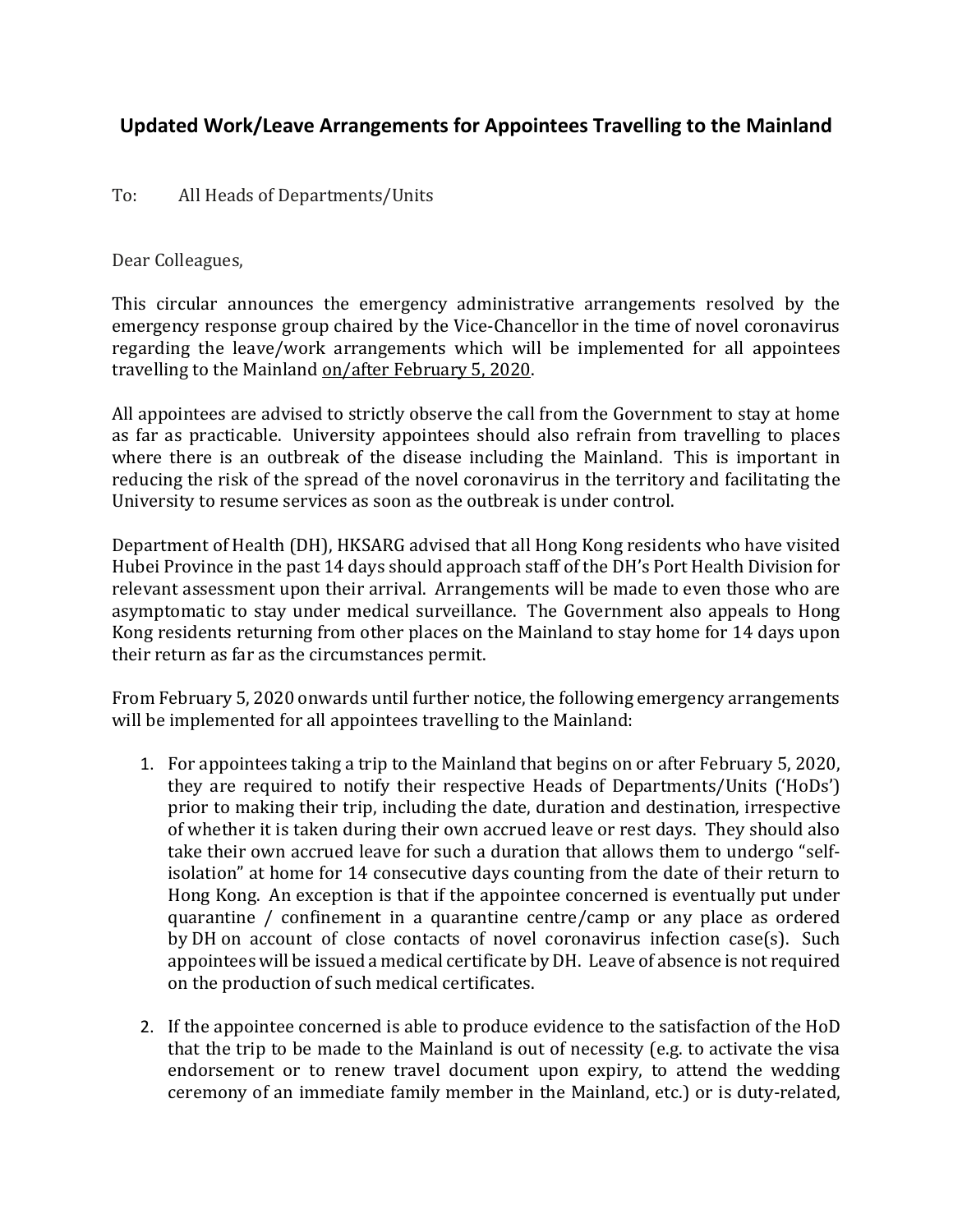## **Updated Work/Leave Arrangements for Appointees Travelling to the Mainland**

## To: All Heads of Departments/Units

Dear Colleagues,

This circular announces the emergency administrative arrangements resolved by the emergency response group chaired by the Vice-Chancellor in the time of novel coronavirus regarding the leave/work arrangements which will be implemented for all appointees travelling to the Mainland on/after February 5, 2020.

All appointees are advised to strictly observe the call from the Government to stay at home as far as practicable. University appointees should also refrain from travelling to places where there is an outbreak of the disease including the Mainland. This is important in reducing the risk of the spread of the novel coronavirus in the territory and facilitating the University to resume services as soon as the outbreak is under control.

Department of Health (DH), HKSARG advised that all Hong Kong residents who have visited Hubei Province in the past 14 days should approach staff of the DH's Port Health Division for relevant assessment upon their arrival. Arrangements will be made to even those who are asymptomatic to stay under medical surveillance. The Government also appeals to Hong Kong residents returning from other places on the Mainland to stay home for 14 days upon their return as far as the circumstances permit.

From February 5, 2020 onwards until further notice, the following emergency arrangements will be implemented for all appointees travelling to the Mainland:

- 1. For appointees taking a trip to the Mainland that begins on or after February 5, 2020, they are required to notify their respective Heads of Departments/Units ('HoDs') prior to making their trip, including the date, duration and destination, irrespective of whether it is taken during their own accrued leave or rest days. They should also take their own accrued leave for such a duration that allows them to undergo "selfisolation" at home for 14 consecutive days counting from the date of their return to Hong Kong. An exception is that if the appointee concerned is eventually put under quarantine / confinement in a quarantine centre/camp or any place as ordered by DH on account of close contacts of novel coronavirus infection case(s). Such appointees will be issued a medical certificate by DH. Leave of absence is not required on the production of such medical certificates.
- 2. If the appointee concerned is able to produce evidence to the satisfaction of the HoD that the trip to be made to the Mainland is out of necessity (e.g. to activate the visa endorsement or to renew travel document upon expiry, to attend the wedding ceremony of an immediate family member in the Mainland, etc.) or is duty-related,